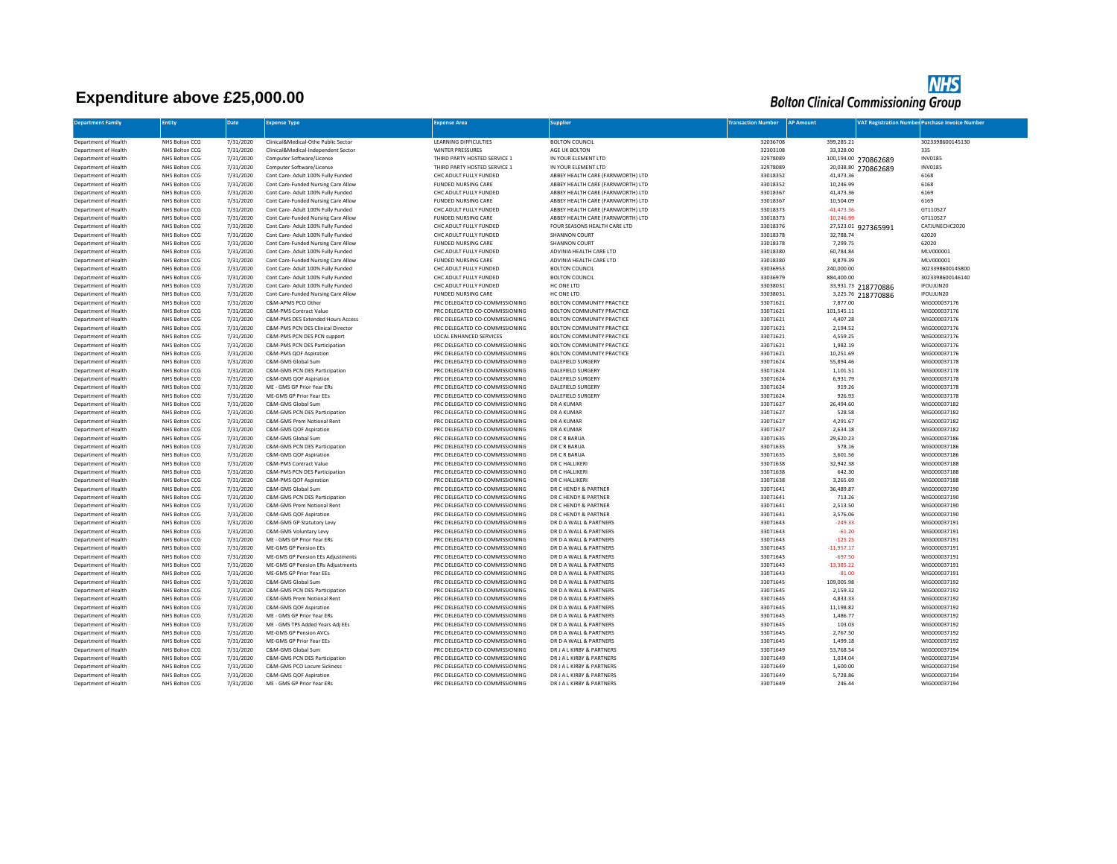## **Expenditure above £25,000.00**



| <b>Department Family</b>                     | Entity                           | Date                   | <b>Expense Type</b>                                                       | xpense Area                                                      | <b>Supplier</b>                                                        | <b>Transaction Number</b> | <b>AP Amount</b>       |                      | <b>VAT Registration Number Purchase Invoice Number</b> |
|----------------------------------------------|----------------------------------|------------------------|---------------------------------------------------------------------------|------------------------------------------------------------------|------------------------------------------------------------------------|---------------------------|------------------------|----------------------|--------------------------------------------------------|
|                                              |                                  |                        |                                                                           |                                                                  |                                                                        |                           |                        |                      |                                                        |
| Department of Health                         | NHS Bolton CCG                   | 7/31/2020              | Clinical&Medical-Othe Public Sector                                       | LEARNING DIFFICULTIES                                            | <b>BOLTON COUNCIL</b>                                                  | 32036708                  | 399,285.21             |                      | 3023398600145130                                       |
| Department of Health                         | NHS Bolton CCG                   | 7/31/2020              | Clinical&Medical-Independent Sector                                       | <b>WINTER PRESSURES</b>                                          | AGE UK BOLTON                                                          | 32303108                  | 33,328.00              |                      | 335                                                    |
| Department of Health                         | NHS Bolton CCG                   | 7/31/2020              | Computer Software/License                                                 | THIRD PARTY HOSTED SERVICE 1                                     | IN YOUR ELEMENT LTD                                                    | 32978089                  |                        | 100,194.00 270862689 | <b>INV0185</b>                                         |
| Department of Health                         | NHS Bolton CCG                   | 7/31/2020              | Computer Software/License                                                 | THIRD PARTY HOSTED SERVICE 1                                     | IN YOUR ELEMENT LTD                                                    | 32978089                  |                        | 20,038.80 270862689  | <b>INV0185</b>                                         |
| Department of Health                         | NHS Bolton CCG                   | 7/31/2020              | Cont Care- Adult 100% Fully Funded                                        | CHC ADULT FULLY FUNDED                                           | ABBEY HEALTH CARE (FARNWORTH) LTD                                      | 33018352                  | 41,473.36              |                      | 6168<br>6168                                           |
| Department of Health<br>Department of Health | NHS Bolton CCG<br>NHS Bolton CCG | 7/31/2020<br>7/31/2020 | Cont Care-Funded Nursing Care Allow<br>Cont Care- Adult 100% Fully Funded | FUNDED NURSING CARE<br>CHC ADULT FULLY FUNDED                    | ABBEY HEALTH CARE (FARNWORTH) LTD<br>ABBEY HEALTH CARE (FARNWORTH) LTD | 33018352<br>33018367      | 10,246.99<br>41,473.36 |                      | 6169                                                   |
| Department of Health                         | NHS Bolton CCG                   | 7/31/2020              | Cont Care-Funded Nursing Care Allow                                       | FUNDED NURSING CARE                                              | ABBEY HEALTH CARE (FARNWORTH) LTD                                      | 33018367                  | 10,504.09              |                      | 6169                                                   |
| Department of Health                         | NHS Bolton CCG                   | 7/31/2020              | Cont Care- Adult 100% Fully Funded                                        | CHC ADULT FULLY FUNDED                                           | ABBEY HEALTH CARE (FARNWORTH) LTD                                      | 33018373                  | $-41,473.36$           |                      | GT110527                                               |
| Department of Health                         | NHS Bolton CCG                   | 7/31/2020              | Cont Care-Funded Nursing Care Allow                                       | <b>FUNDED NURSING CARE</b>                                       | ABBEY HEALTH CARE (FARNWORTH) LTD                                      | 33018373                  | $-10,246.99$           |                      | GT110527                                               |
| Department of Health                         | NHS Bolton CCG                   | 7/31/2020              | Cont Care- Adult 100% Fully Funded                                        | CHC ADULT FULLY FUNDED                                           | FOUR SEASONS HEALTH CARE LTD                                           | 33018376                  |                        | 27,523.01 927365991  | CATJUNECHC2020                                         |
| Department of Health                         | NHS Bolton CCG                   | 7/31/2020              | Cont Care- Adult 100% Fully Funded                                        | CHC ADULT FULLY FUNDED                                           | SHANNON COURT                                                          | 33018378                  | 32,788.74              |                      | 62020                                                  |
| Department of Health                         | NHS Bolton CCG                   | 7/31/2020              | Cont Care-Funded Nursing Care Allow                                       | <b>FUNDED NURSING CARE</b>                                       | SHANNON COURT                                                          | 33018378                  | 7,299.75               |                      | 62020                                                  |
| Department of Health                         | NHS Bolton CCG                   | 7/31/2020              | Cont Care- Adult 100% Fully Funded                                        | CHC ADULT FULLY FUNDED                                           | ADVINIA HEALTH CARE LTD                                                | 33018380                  | 60,784.84              |                      | MLV000001                                              |
| Department of Health                         | NHS Bolton CCG                   | 7/31/2020              | Cont Care-Funded Nursing Care Allow                                       | <b>FUNDED NURSING CARE</b>                                       | ADVINIA HEALTH CARE LTD                                                | 33018380                  | 8,879.39               |                      | MLV000001                                              |
| Department of Health                         | NHS Bolton CCG                   | 7/31/2020              | Cont Care- Adult 100% Fully Funded                                        | CHC ADULT FULLY FUNDED                                           | <b>BOLTON COUNCIL</b>                                                  | 33036953                  | 240,000.00             |                      | 3023398600145800                                       |
| Department of Health                         | NHS Bolton CCG                   | 7/31/2020              | Cont Care- Adult 100% Fully Funded                                        | CHC ADUIT FULLY FUNDED                                           | <b>BOLTON COUNCIL</b>                                                  | 33036979                  | 884,400.00             |                      | 3023398600146140                                       |
| Department of Health                         | NHS Bolton CCG                   | 7/31/2020              | Cont Care- Adult 100% Fully Funded                                        | CHC ADULT FULLY FUNDED                                           | HC ONE LTD                                                             | 33038031                  |                        | 33,931.73 218770886  | IFOUJUN20                                              |
| Department of Health                         | NHS Bolton CCG                   | 7/31/2020              | Cont Care-Funded Nursing Care Allow                                       | FUNDED NURSING CARE                                              | HC ONE LTD                                                             | 33038031                  |                        | 3,225.76 218770886   | IFOUJUN20                                              |
| Department of Health                         | NHS Bolton CCG                   | 7/31/2020              | C&M-APMS PCO Other                                                        | PRC DELEGATED CO-COMMISSIONING                                   | BOLTON COMMUNITY PRACTICE                                              | 33071621                  | 7,877.00               |                      | WIG000037176                                           |
| Department of Health                         | NHS Bolton CCG                   | 7/31/2020              | C&M-PMS Contract Value                                                    | PRC DELEGATED CO-COMMISSIONING                                   | BOLTON COMMUNITY PRACTICE                                              | 33071621                  | 101,545.11             |                      | WIG000037176                                           |
| Department of Health                         | NHS Bolton CCG<br>NHS Bolton CCG | 7/31/2020<br>7/31/2020 | C&M-PMS DES Extended Hours Access<br>C&M-PMS PCN DES Clinical Director    | PRC DELEGATED CO-COMMISSIONING<br>PRC DELEGATED CO-COMMISSIONING | BOLTON COMMUNITY PRACTICE<br>BOLTON COMMUNITY PRACTICE                 | 33071621<br>33071621      | 4,407.28               |                      | WIG000037176                                           |
| Department of Health<br>Department of Health | NHS Bolton CCG                   | 7/31/2020              | C&M-PMS PCN DES PCN support                                               | LOCAL ENHANCED SERVICES                                          | BOLTON COMMUNITY PRACTICE                                              | 33071621                  | 2,194.52<br>4,559.25   |                      | WIG000037176<br>WIG000037176                           |
| Department of Health                         | NHS Bolton CCG                   | 7/31/2020              | C&M-PMS PCN DES Participation                                             | PRC DELEGATED CO-COMMISSIONING                                   | BOLTON COMMUNITY PRACTICE                                              | 33071621                  | 1,982.19               |                      | WIG000037176                                           |
| Department of Health                         | NHS Bolton CCG                   | 7/31/2020              | C&M-PMS QOF Aspiration                                                    | PRC DELEGATED CO-COMMISSIONING                                   | BOLTON COMMUNITY PRACTICE                                              | 33071621                  | 10,251.69              |                      | WIG000037176                                           |
| Department of Health                         | NHS Bolton CCG                   | 7/31/2020              | C&M-GMS Global Sum                                                        | PRC DELEGATED CO-COMMISSIONING                                   | DALEFIELD SURGERY                                                      | 33071624                  | 55,894.46              |                      | WIG000037178                                           |
| Department of Health                         | NHS Bolton CCG                   | 7/31/2020              | C&M-GMS PCN DES Participation                                             | PRC DELEGATED CO-COMMISSIONING                                   | DALEFIELD SURGERY                                                      | 33071624                  | 1,101.51               |                      | WIG000037178                                           |
| Department of Health                         | NHS Bolton CCG                   | 7/31/2020              | C&M-GMS QOF Aspiration                                                    | PRC DELEGATED CO-COMMISSIONING                                   | DALEFIELD SURGERY                                                      | 33071624                  | 6,931.79               |                      | WIG000037178                                           |
| Department of Health                         | NHS Bolton CCG                   | 7/31/2020              | ME - GMS GP Prior Year ERs                                                | PRC DELEGATED CO-COMMISSIONING                                   | DALEFIELD SURGERY                                                      | 33071624                  | 919.26                 |                      | WIG000037178                                           |
| Department of Health                         | NHS Bolton CCG                   | 7/31/2020              | ME-GMS GP Prior Year EEs                                                  | PRC DELEGATED CO-COMMISSIONING                                   | DALEFIELD SURGERY                                                      | 33071624                  | 926.93                 |                      | WIG000037178                                           |
| Department of Health                         | NHS Bolton CCG                   | 7/31/2020              | C&M-GMS Global Sum                                                        | PRC DELEGATED CO-COMMISSIONING                                   | DR A KUMAR                                                             | 33071627                  | 26,494.60              |                      | WIG000037182                                           |
| Department of Health                         | NHS Bolton CCG                   | 7/31/2020              | C&M-GMS PCN DES Participation                                             | PRC DELEGATED CO-COMMISSIONING                                   | DR A KUMAR                                                             | 33071627                  | 528.58                 |                      | WIG000037182                                           |
| Department of Health                         | NHS Bolton CCG                   | 7/31/2020              | C&M-GMS Prem Notional Rent                                                | PRC DELEGATED CO-COMMISSIONING                                   | DR A KUMAR                                                             | 33071627                  | 4,291.67               |                      | WIG000037182                                           |
| Department of Health                         | NHS Bolton CCG                   | 7/31/2020              | C&M-GMS QOF Aspiration                                                    | PRC DELEGATED CO-COMMISSIONING                                   | DR A KUMAR                                                             | 33071627                  | 2,634.18               |                      | WIG000037182                                           |
| Department of Health                         | NHS Bolton CCG                   | 7/31/2020              | C&M-GMS Global Sum                                                        | PRC DELEGATED CO-COMMISSIONING                                   | DR C R BARUA                                                           | 33071635                  | 29,620.23              |                      | WIG000037186                                           |
| Department of Health                         | NHS Bolton CCG                   | 7/31/2020              | C&M-GMS PCN DES Participation                                             | PRC DELEGATED CO-COMMISSIONING                                   | DR C R BARUA                                                           | 33071635                  | 578.16                 |                      | WIG000037186                                           |
| Department of Health                         | NHS Bolton CCG                   | 7/31/2020              | C&M-GMS OOF Asniration                                                    | PRC DELEGATED CO-COMMISSIONING                                   | DR C R BARUA                                                           | 33071635                  | 3,601.56               |                      | WIG000037186                                           |
| Department of Health<br>Department of Health | NHS Bolton CCG<br>NHS Bolton CCG | 7/31/2020<br>7/31/2020 | C&M-PMS Contract Value<br>C&M-PMS PCN DES Participation                   | PRC DELEGATED CO-COMMISSIONING<br>PRC DELEGATED CO-COMMISSIONING | DR C HALLIKERI<br>DR C HALLIKERI                                       | 33071638<br>33071638      | 32,942.38<br>642.30    |                      | WIG000037188<br>WIG000037188                           |
| Department of Health                         | NHS Bolton CCG                   | 7/31/2020              | C&M-PMS QOF Aspiration                                                    | PRC DELEGATED CO-COMMISSIONING                                   | DR C HALLIKERI                                                         | 33071638                  | 3,265.69               |                      | WIG000037188                                           |
| Department of Health                         | NHS Bolton CCG                   | 7/31/2020              | C&M-GMS Global Sum                                                        | PRC DELEGATED CO-COMMISSIONING                                   | DR C HENDY & PARTNER                                                   | 33071641                  | 36,489.87              |                      | WIG000037190                                           |
| Department of Health                         | NHS Bolton CCG                   | 7/31/2020              | C&M-GMS PCN DES Participation                                             | PRC DELEGATED CO-COMMISSIONING                                   | DR C HENDY & PARTNER                                                   | 33071641                  | 713.26                 |                      | WIG000037190                                           |
| Department of Health                         | NHS Bolton CCG                   | 7/31/2020              | C&M-GMS Prem Notional Rent                                                | PRC DELEGATED CO-COMMISSIONING                                   | DR C HENDY & PARTNER                                                   | 33071641                  | 2,513.50               |                      | WIG000037190                                           |
| Department of Health                         | NHS Bolton CCG                   | 7/31/2020              | C&M-GMS OOF Asniration                                                    | PRC DELEGATED CO-COMMISSIONING                                   | DR C HENDY & PARTNER                                                   | 33071641                  | 3,576.06               |                      | WIG000037190                                           |
| Department of Health                         | NHS Bolton CCG                   | 7/31/2020              | C&M-GMS GP Statutory Levy                                                 | PRC DELEGATED CO-COMMISSIONING                                   | DR D A WALL & PARTNERS                                                 | 33071643                  | $-249.33$              |                      | WIG000037191                                           |
| Department of Health                         | NHS Bolton CCG                   | 7/31/2020              | C&M-GMS Voluntary Levy                                                    | PRC DELEGATED CO-COMMISSIONING                                   | DR D A WALL & PARTNERS                                                 | 33071643                  | $-61.20$               |                      | WIG000037191                                           |
| Department of Health                         | NHS Bolton CCG                   | 7/31/2020              | ME - GMS GP Prior Year ERs                                                | PRC DELEGATED CO-COMMISSIONING                                   | DR D A WALL & PARTNERS                                                 | 33071643                  | $-125.25$              |                      | WIG000037191                                           |
| Department of Health                         | NHS Bolton CCG                   | 7/31/2020              | ME-GMS GP Pension EEs                                                     | PRC DELEGATED CO-COMMISSIONING                                   | DR D A WALL & PARTNERS                                                 | 33071643                  | $-11,957.17$           |                      | WIG000037191                                           |
| Department of Health                         | NHS Bolton CCG                   | 7/31/2020              | ME-GMS GP Pension EEs Adjustments                                         | PRC DELEGATED CO-COMMISSIONING                                   | DR D A WALL & PARTNERS                                                 | 33071643                  | $-697.50$              |                      | WIG000037191                                           |
| Department of Health                         | NHS Bolton CCG                   | 7/31/2020              | ME-GMS GP Pension ERs Adjustments                                         | PRC DELEGATED CO-COMMISSIONING                                   | DR D A WALL & PARTNERS                                                 | 33071643                  | $-13,385.22$           |                      | WIG000037191                                           |
| Department of Health                         | NHS Bolton CCG                   | 7/31/2020              | ME-GMS GP Prior Year EEs                                                  | PRC DELEGATED CO-COMMISSIONING                                   | DR D A WALL & PARTNERS                                                 | 33071643                  | $-81.00$               |                      | WIG000037191                                           |
| Department of Health                         | NHS Bolton CCG                   | 7/31/2020              | C&M-GMS Global Sum                                                        | PRC DELEGATED CO-COMMISSIONING                                   | DR D A WALL & PARTNERS                                                 | 33071645                  | 109,005.98             |                      | WIG000037192                                           |
| Department of Health                         | NHS Bolton CCG                   | 7/31/2020              | C&M-GMS PCN DES Participation                                             | PRC DELEGATED CO-COMMISSIONING                                   | DR D A WALL & PARTNERS                                                 | 33071645                  | 2,159.32               |                      | WIG000037192                                           |
| Department of Health                         | NHS Bolton CCG                   | 7/31/2020              | C&M-GMS Prem Notional Rent                                                | PRC DELEGATED CO-COMMISSIONING                                   | DR D A WALL & PARTNERS                                                 | 33071645                  | 4,833.33               |                      | WIG000037192                                           |
| Department of Health<br>Department of Health | NHS Bolton CCG<br>NHS Bolton CCG | 7/31/2020<br>7/31/2020 | C&M-GMS QOF Aspiration<br>ME - GMS GP Prior Year ERs                      | PRC DELEGATED CO-COMMISSIONING<br>PRC DELEGATED CO-COMMISSIONING | DR D A WALL & PARTNERS<br>DR D A WALL & PARTNERS                       | 33071645<br>33071645      | 11,198.82<br>1,486.77  |                      | WIG000037192<br>WIG000037192                           |
| Department of Health                         | NHS Bolton CCG                   | 7/31/2020              | ME - GMS TPS Added Years Adj EEs                                          | PRC DELEGATED CO-COMMISSIONING                                   | DR D A WALL & PARTNERS                                                 | 33071645                  | 103.03                 |                      | WIG000037192                                           |
| Department of Health                         | NHS Bolton CCG                   | 7/31/2020              | ME-GMS GP Pension AVCs                                                    | PRC DELEGATED CO-COMMISSIONING                                   | DR D A WALL & PARTNERS                                                 | 33071645                  | 2,767.50               |                      | WIG000037192                                           |
| Department of Health                         | NHS Bolton CCG                   | 7/31/2020              | ME-GMS GP Prior Year EEs                                                  | PRC DELEGATED CO-COMMISSIONING                                   | DR D A WALL & PARTNERS                                                 | 33071645                  | 1,499.18               |                      | WIG000037192                                           |
| Department of Health                         | NHS Bolton CCG                   | 7/31/2020              | C&M-GMS Global Sum                                                        | PRC DELEGATED CO-COMMISSIONING                                   | DR J A L KIRBY & PARTNERS                                              | 33071649                  | 53,768.54              |                      | WIG000037194                                           |
| Department of Health                         | NHS Bolton CCG                   | 7/31/2020              | C&M-GMS PCN DES Participation                                             | PRC DELEGATED CO-COMMISSIONING                                   | DR J A L KIRBY & PARTNERS                                              | 33071649                  | 1,034.04               |                      | WIG000037194                                           |
| Department of Health                         | NHS Bolton CCG                   | 7/31/2020              | C&M-GMS PCO Locum Sickness                                                | PRC DELEGATED CO-COMMISSIONING                                   | DR J A L KIRBY & PARTNERS                                              | 33071649                  | 1,600.00               |                      | WIG000037194                                           |
| Department of Health                         | NHS Bolton CCG                   | 7/31/2020              | C&M-GMS QOF Aspiration                                                    | PRC DELEGATED CO-COMMISSIONING                                   | DR J A L KIRBY & PARTNERS                                              | 33071649                  | 5,728.86               |                      | WIG000037194                                           |
| Department of Health                         | NHS Bolton CCG                   | 7/31/2020              | ME - GMS GP Prior Year ERs                                                | PRC DELEGATED CO-COMMISSIONING                                   | DR J A L KIRBY & PARTNERS                                              | 33071649                  | 246.44                 |                      | WIG000037194                                           |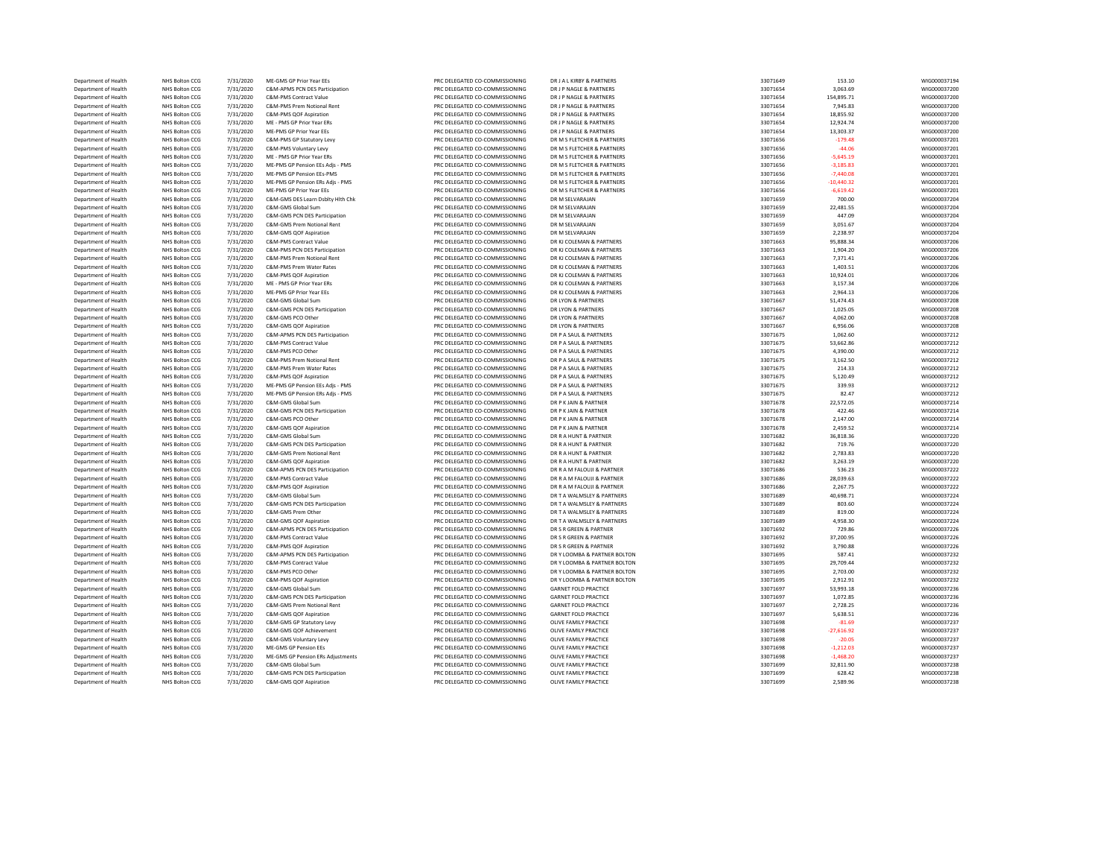| Department of Health | NHS Bolton CCG        | 7/31/2020 | ME-GMS GP Prior Year EEs          | PRC DELEGATED CO-COMMISSIONING | DR J A L KIRBY & PARTNERS     | 33071649 | 153.10       | WIG000037194 |
|----------------------|-----------------------|-----------|-----------------------------------|--------------------------------|-------------------------------|----------|--------------|--------------|
| Department of Health | NHS Bolton CCG        | 7/31/2020 | C&M-APMS PCN DES Participation    | PRC DELEGATED CO-COMMISSIONING | DR J P NAGLE & PARTNERS       | 33071654 | 3,063.69     | WIG000037200 |
| Department of Health | NHS Bolton CCG        | 7/31/2020 | C&M-PMS Contract Value            | PRC DELEGATED CO-COMMISSIONING | DR J P NAGLE & PARTNERS       | 33071654 | 154,895.71   | WIG000037200 |
| Department of Health | NHS Bolton CCG        | 7/31/2020 | C&M-PMS Prem Notional Rent        | PRC DELEGATED CO-COMMISSIONING | DR J P NAGLE & PARTNERS       | 33071654 | 7,945.83     | WIG000037200 |
| Department of Health | NHS Bolton CCG        | 7/31/2020 | C&M-PMS QOF Aspiration            | PRC DELEGATED CO-COMMISSIONING | DR I P NAGLE & PARTNERS       | 33071654 | 18,855.92    | WIG000037200 |
| Department of Health | <b>NHS Bolton CCG</b> | 7/31/2020 | ME - PMS GP Prior Year ERs        | PRC DELEGATED CO-COMMISSIONING | DR J P NAGLE & PARTNERS       | 33071654 | 12,924.74    | WIG000037200 |
| Department of Health | NHS Bolton CCG        | 7/31/2020 | ME-PMS GP Prior Year EEs          | PRC DELEGATED CO-COMMISSIONING | DR J P NAGLE & PARTNERS       | 33071654 | 13,303.37    | WIG000037200 |
| Department of Health | NHS Bolton CCG        | 7/31/2020 | C&M-PMS GP Statutory Levy         | PRC DELEGATED CO-COMMISSIONING | DR M S FLETCHER & PARTNERS    | 33071656 | $-179.48$    | WIG000037201 |
| Department of Health | NHS Bolton CCG        | 7/31/2020 | C&M-PMS Voluntary Levy            | PRC DELEGATED CO-COMMISSIONING | DR M S FLETCHER & PARTNERS    | 33071656 | $-44.06$     | WIG000037201 |
| Department of Health | NHS Bolton CCG        | 7/31/2020 | ME - PMS GP Prior Year ERs        | PRC DELEGATED CO-COMMISSIONING | DR M S FLETCHER & PARTNERS    | 33071656 | $-5,645.19$  | WIG000037201 |
| Department of Health | NHS Bolton CCG        | 7/31/2020 | ME-PMS GP Pension EEs Adjs - PMS  | PRC DELEGATED CO-COMMISSIONING | DR M S FLETCHER & PARTNERS    | 33071656 | $-3,185.83$  | WIG000037201 |
| Department of Health | NHS Bolton CCG        | 7/31/2020 | ME-PMS GP Pension EEs-PMS         | PRC DELEGATED CO-COMMISSIONING | DR M S FLETCHER & PARTNERS    | 33071656 | $-7,440.08$  | WIG000037201 |
| Department of Health | NHS Bolton CCG        | 7/31/2020 | ME-PMS GP Pension ERs Adjs - PMS  | PRC DELEGATED CO-COMMISSIONING | DR M S FLETCHER & PARTNERS    | 33071656 | $-10,440.32$ | WIG000037201 |
| Department of Health | NHS Bolton CCG        | 7/31/2020 | ME-PMS GP Prior Year EEs          | PRC DELEGATED CO-COMMISSIONING | DR M S FLETCHER & PARTNERS    | 33071656 | $-6,619.42$  | WIG000037201 |
| Department of Health | NHS Bolton CCG        | 7/31/2020 | C&M-GMS DES Learn Dsblty Hlth Chk | PRC DELEGATED CO-COMMISSIONING | DR M SELVARAJAN               | 33071659 | 700.00       | WIG000037204 |
| Department of Health | NHS Bolton CCG        | 7/31/2020 | C&M-GMS Global Sum                | PRC DELEGATED CO-COMMISSIONING | DR M SELVARAJAN               | 33071659 | 22,481.55    | WIG000037204 |
| Department of Health | NHS Bolton CCG        | 7/31/2020 | C&M-GMS PCN DES Participation     | PRC DELEGATED CO-COMMISSIONING | DR M SFI VARAIAN              | 33071659 | 447.09       | WIG000037204 |
|                      | NHS Bolton CCG        | 7/31/2020 | C&M-GMS Prem Notional Rent        |                                | DR M SELVARAJAN               |          |              | WIG000037204 |
| Department of Health |                       |           |                                   | PRC DELEGATED CO-COMMISSIONING |                               | 33071659 | 3,051.67     |              |
| Department of Health | NHS Bolton CCG        | 7/31/2020 | C&M-GMS QOF Aspiration            | PRC DELEGATED CO-COMMISSIONING | DR M SELVARAJAN               | 33071659 | 2.238.97     | WIG000037204 |
| Department of Health | NHS Bolton CCG        | 7/31/2020 | C&M-PMS Contract Value            | PRC DELEGATED CO-COMMISSIONING | DR KJ COLEMAN & PARTNERS      | 33071663 | 95,888.34    | WIG000037206 |
| Department of Health | NHS Bolton CCG        | 7/31/2020 | C&M-PMS PCN DES Participation     | PRC DELEGATED CO-COMMISSIONING | DR KJ COLEMAN & PARTNERS      | 33071663 | 1,904.20     | WIG000037206 |
| Department of Health | NHS Bolton CCG        | 7/31/2020 | C&M-PMS Prem Notional Rent        | PRC DELEGATED CO-COMMISSIONING | DR KJ COLEMAN & PARTNERS      | 33071663 | 7,371.41     | WIG000037206 |
| Department of Health | NHS Bolton CCG        | 7/31/2020 | C&M-PMS Prem Water Rates          | PRC DELEGATED CO-COMMISSIONING | DR KJ COLEMAN & PARTNERS      | 33071663 | 1,403.51     | WIG000037206 |
| Department of Health | NHS Bolton CCG        | 7/31/2020 | C&M-PMS QOF Aspiration            | PRC DELEGATED CO-COMMISSIONING | DR KJ COLEMAN & PARTNERS      | 33071663 | 10,924.01    | WIG000037206 |
| Department of Health | NHS Bolton CCG        | 7/31/2020 | ME - PMS GP Prior Year ERs        | PRC DELEGATED CO-COMMISSIONING | DR KJ COLEMAN & PARTNERS      | 33071663 | 3,157.34     | WIG000037206 |
| Department of Health | NHS Bolton CCG        | 7/31/2020 | ME-PMS GP Prior Year EEs          | PRC DELEGATED CO-COMMISSIONING | DR KJ COLEMAN & PARTNERS      | 33071663 | 2,964.13     | WIG000037206 |
| Department of Health | NHS Bolton CCG        | 7/31/2020 | C&M-GMS Global Sum                | PRC DELEGATED CO-COMMISSIONING | DR LYON & PARTNERS            | 33071667 | 51,474.43    | WIG000037208 |
| Department of Health | NHS Bolton CCG        | 7/31/2020 | C&M-GMS PCN DES Participation     | PRC DELEGATED CO-COMMISSIONING | DR LYON & PARTNERS            | 33071667 | 1,025.05     | WIG000037208 |
| Department of Health | NHS Bolton CCG        | 7/31/2020 | C&M-GMS PCO Other                 | PRC DELEGATED CO-COMMISSIONING | DR LYON & PARTNERS            | 33071667 | 4.062.00     | WIG000037208 |
| Department of Health | NHS Bolton CCG        | 7/31/2020 | C&M-GMS OOF Asniration            | PRC DELEGATED CO-COMMISSIONING | <b>DR LYON &amp; PARTNERS</b> | 33071667 | 6,956.06     | WIG000037208 |
| Department of Health | NHS Bolton CCG        | 7/31/2020 | C&M-APMS PCN DES Participation    | PRC DELEGATED CO-COMMISSIONING | DR P A SAUL & PARTNERS        | 33071675 | 1,062.60     | WIG000037212 |
| Department of Health | NHS Bolton CCG        | 7/31/2020 | C&M-PMS Contract Value            | PRC DELEGATED CO-COMMISSIONING | DR P A SAUL & PARTNERS        | 33071675 | 53,662.86    | WIG000037212 |
| Department of Health | NHS Bolton CCG        | 7/31/2020 | C&M-PMS PCO Other                 | PRC DELEGATED CO-COMMISSIONING | DR P A SAUL & PARTNERS        | 33071675 | 4.390.00     | WIG000037212 |
| Department of Health | NHS Bolton CCG        | 7/31/2020 | C&M-PMS Prem Notional Rent        | PRC DELEGATED CO-COMMISSIONING | DR P A SAUL & PARTNERS        | 33071675 | 3,162.50     | WIG000037212 |
| Department of Health | NHS Bolton CCG        | 7/31/2020 | C&M-PMS Prem Water Rates          | PRC DELEGATED CO-COMMISSIONING | DR P A SAUL & PARTNERS        | 33071675 | 214.33       | WIG000037212 |
| Department of Health | NHS Bolton CCG        | 7/31/2020 | C&M-PMS QOF Aspiration            | PRC DELEGATED CO-COMMISSIONING | DR P A SAUL & PARTNERS        | 33071675 | 5,120.49     | WIG000037212 |
| Department of Health | NHS Bolton CCG        | 7/31/2020 | ME-PMS GP Pension EEs Adjs - PMS  | PRC DELEGATED CO-COMMISSIONING | DR P A SAUL & PARTNERS        | 33071675 | 339.93       | WIG000037212 |
| Department of Health | NHS Bolton CCG        | 7/31/2020 | ME-PMS GP Pension ERs Adjs - PMS  | PRC DELEGATED CO-COMMISSIONING | DR P A SAUL & PARTNERS        | 33071675 | 82.47        | WIG000037212 |
| Department of Health | NHS Bolton CCG        | 7/31/2020 | C&M-GMS Global Sum                | PRC DELEGATED CO-COMMISSIONING | DR P K JAIN & PARTNER         | 33071678 | 22,572.05    | WIG000037214 |
| Department of Health | NHS Bolton CCG        | 7/31/2020 | C&M-GMS PCN DES Participation     | PRC DELEGATED CO-COMMISSIONING | DR P K JAIN & PARTNER         | 33071678 | 422.46       | WIG000037214 |
| Department of Health | NHS Bolton CCG        | 7/31/2020 | C&M-GMS PCO Other                 | PRC DELEGATED CO-COMMISSIONING | DR P K JAIN & PARTNER         | 33071678 | 2,147.00     | WIG000037214 |
| Department of Health | NHS Bolton CCG        | 7/31/2020 | C&M-GMS QOF Aspiration            | PRC DELEGATED CO-COMMISSIONING | DR P K JAIN & PARTNER         | 33071678 | 2,459.52     | WIG000037214 |
| Department of Health | NHS Bolton CCG        | 7/31/2020 | C&M-GMS Global Sum                | PRC DELEGATED CO-COMMISSIONING | DR R A HUNT & PARTNER         | 33071682 | 36,818.36    | WIG000037220 |
| Department of Health | NHS Bolton CCG        | 7/31/2020 | C&M-GMS PCN DES Participation     | PRC DELEGATED CO-COMMISSIONING | DR R A HUNT & PARTNER         | 33071682 | 719.76       | WIG000037220 |
| Department of Health | NHS Bolton CCG        | 7/31/2020 | C&M-GMS Prem Notional Rent        | PRC DELEGATED CO-COMMISSIONING | DR R A HUNT & PARTNER         | 33071682 | 2,783.83     | WIG000037220 |
| Department of Health | NHS Bolton CCG        | 7/31/2020 | C&M-GMS QOF Aspiration            | PRC DELEGATED CO-COMMISSIONING | DR R A HUNT & PARTNER         | 33071682 | 3,263.19     | WIG000037220 |
| Department of Health | NHS Bolton CCG        | 7/31/2020 | C&M-APMS PCN DES Participation    | PRC DELEGATED CO-COMMISSIONING | DR R A M FALOUJI & PARTNER    | 33071686 | 536.23       | WIG000037222 |
| Department of Health | NHS Bolton CCG        | 7/31/2020 | C&M-PMS Contract Value            | PRC DELEGATED CO-COMMISSIONING | DR R A M FALOUIL & PARTNER    | 33071686 | 28,039.63    | WIG000037222 |
| Department of Health | <b>NHS Bolton CCG</b> | 7/31/2020 | C&M-PMS QOF Aspiration            | PRC DELEGATED CO-COMMISSIONING | DR R A M FALOUJI & PARTNER    | 33071686 | 2,267.75     | WIG000037222 |
| Department of Health | NHS Bolton CCG        | 7/31/2020 | C&M-GMS Global Sum                | PRC DELEGATED CO-COMMISSIONING | DR T A WALMSLEY & PARTNERS    | 33071689 | 40,698.71    | WIG000037224 |
| Department of Health | NHS Bolton CCG        | 7/31/2020 | C&M-GMS PCN DES Participation     | PRC DELEGATED CO-COMMISSIONING | DR T A WALMSLEY & PARTNERS    | 33071689 | 803.60       | WIG000037224 |
| Department of Health | NHS Bolton CCG        | 7/31/2020 | C&M-GMS Prem Other                | PRC DELEGATED CO-COMMISSIONING | DR T A WALMSLEY & PARTNERS    | 33071689 | 819.00       | WIG000037224 |
| Department of Health | NHS Bolton CCG        | 7/31/2020 | C&M-GMS QOF Aspiration            | PRC DELEGATED CO-COMMISSIONING | DR T A WALMSLEY & PARTNERS    | 33071689 | 4,958.30     | WIG000037224 |
| Department of Health | NHS Bolton CCG        | 7/31/2020 | C&M-APMS PCN DES Participation    | PRC DELEGATED CO-COMMISSIONING | DR S R GREEN & PARTNER        | 33071692 | 729.86       | WIG000037226 |
| Department of Health | <b>NHS Bolton CCG</b> | 7/31/2020 | <b>C&amp;M-PMS Contract Value</b> | PRC DELEGATED CO-COMMISSIONING | DR S R GREEN & PARTNER        | 33071692 | 37,200.95    | WIG000037226 |
| Department of Health | NHS Bolton CCG        | 7/31/2020 | C&M-PMS QOF Aspiration            | PRC DELEGATED CO-COMMISSIONING | DR S R GREEN & PARTNER        | 33071692 | 3,790.88     | WIG000037226 |
| Department of Health | NHS Bolton CCG        | 7/31/2020 | C&M-APMS PCN DES Participation    | PRC DELEGATED CO-COMMISSIONING | DR Y LOOMBA & PARTNER BOLTON  | 33071695 | 587.41       | WIG000037232 |
| Department of Health | NHS Bolton CCG        | 7/31/2020 | C&M-PMS Contract Value            | PRC DELEGATED CO-COMMISSIONING | DRY LOOMBA & PARTNER BOLTON   | 33071695 | 29.709.44    | WIG000037232 |
| Department of Health |                       | 7/31/2020 | C&M-PMS PCO Other                 | PRC DELEGATED CO-COMMISSIONING | DR Y LOOMBA & PARTNER BOLTON  | 33071695 | 2,703.00     | WIG000037232 |
| Department of Health | NHS Bolton CCG        |           |                                   |                                |                               |          |              |              |
|                      | NHS Bolton CCG        | 7/31/2020 | C&M-PMS OOF Asniration            | PRC DELEGATED CO-COMMISSIONING | DR Y LOOMBA & PARTNER BOLTON  | 33071695 | 2.912.91     | WIG000037232 |
| Department of Health | NHS Bolton CCG        | 7/31/2020 | C&M-GMS Global Sum                | PRC DELEGATED CO-COMMISSIONING | <b>GARNET FOLD PRACTICE</b>   | 33071697 | 53,993.18    | WIG000037236 |
| Department of Health | NHS Bolton CCG        | 7/31/2020 | C&M-GMS PCN DES Participation     | PRC DELEGATED CO-COMMISSIONING | <b>GARNET FOLD PRACTICE</b>   | 33071697 | 1,072.85     | WIG000037236 |
| Department of Health | NHS Bolton CCG        | 7/31/2020 | C&M-GMS Prem Notional Rent        | PRC DELEGATED CO-COMMISSIONING | <b>GARNET FOLD PRACTICE</b>   | 33071697 | 2,728.25     | WIG000037236 |
| Department of Health | NHS Bolton CCG        | 7/31/2020 | C&M-GMS QOF Aspiration            | PRC DELEGATED CO-COMMISSIONING | <b>GARNET FOLD PRACTICE</b>   | 33071697 | 5,638.51     | WIG000037236 |
| Department of Health | NHS Bolton CCG        | 7/31/2020 | C&M-GMS GP Statutory Levy         | PRC DELEGATED CO-COMMISSIONING | OLIVE FAMILY PRACTICE         | 33071698 | $-81.69$     | WIG000037237 |
| Department of Health | NHS Bolton CCG        | 7/31/2020 | C&M-GMS QOF Achievement           | PRC DELEGATED CO-COMMISSIONING | OLIVE FAMILY PRACTICE         | 33071698 | $-27.616.92$ | WIG000037237 |
| Department of Health | NHS Bolton CCG        | 7/31/2020 | C&M-GMS Voluntary Levy            | PRC DELEGATED CO-COMMISSIONING | OLIVE FAMILY PRACTICE         | 33071698 | $-20.05$     | WIG000037237 |
| Department of Health | NHS Bolton CCG        | 7/31/2020 | <b>ME-GMS GP Pension EEs</b>      | PRC DELEGATED CO-COMMISSIONING | OLIVE FAMILY PRACTICE         | 33071698 | $-1,212.03$  | WIG000037237 |
| Department of Health | NHS Bolton CCG        | 7/31/2020 | ME-GMS GP Pension ERs Adjustments | PRC DELEGATED CO-COMMISSIONING | OLIVE FAMILY PRACTICE         | 33071698 | $-1,468.20$  | WIG000037237 |
| Department of Health | NHS Bolton CCG        | 7/31/2020 | C&M-GMS Global Sum                | PRC DELEGATED CO-COMMISSIONING | OLIVE FAMILY PRACTICE         | 33071699 | 32.811.90    | WIG000037238 |
| Department of Health | NHS Bolton CCG        | 7/31/2020 | C&M-GMS PCN DES Participation     | PRC DELEGATED CO-COMMISSIONING | OLIVE FAMILY PRACTICE         | 33071699 | 628.42       | WIG000037238 |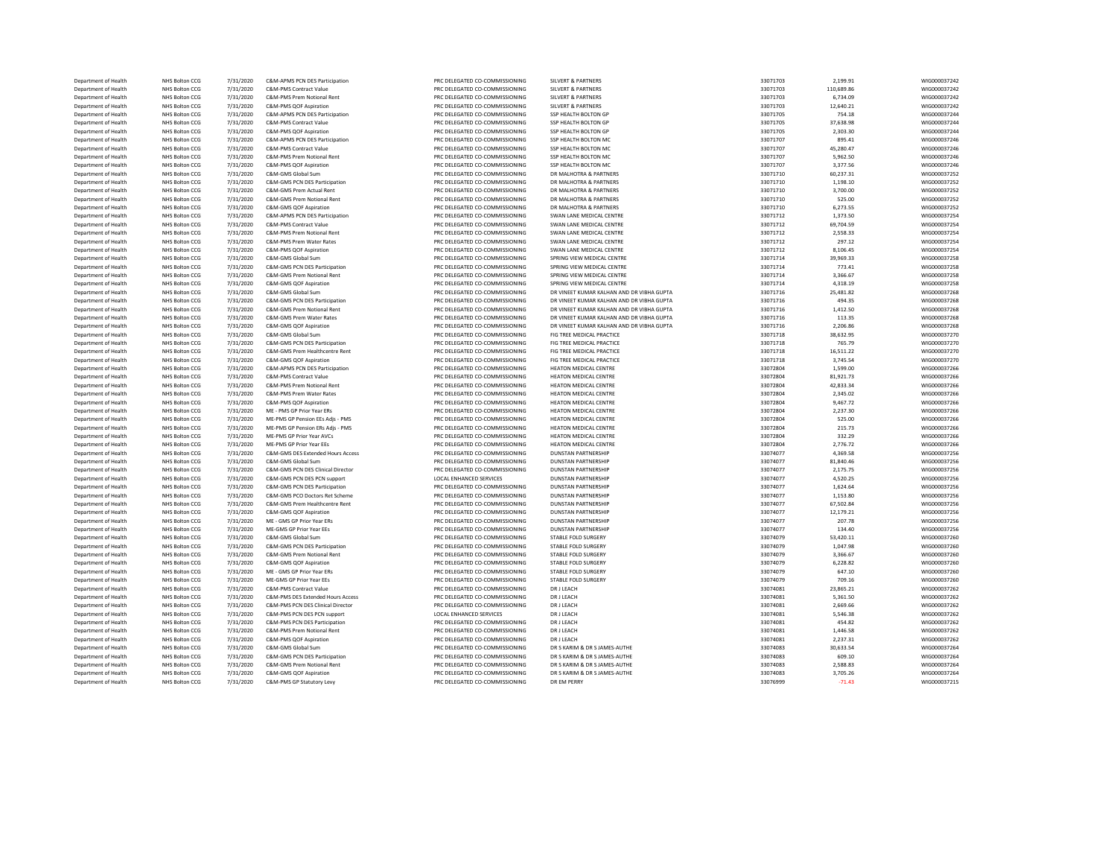| Department of Health | NHS Bolton CCG        | 7/31/2020 | C&M-APMS PCN DES Participation    | PRC DELEGATED CO-COMMISSIONING | <b>SILVERT &amp; PARTNERS</b>             | 33071703 | 2,199.91   | WIG000037242 |
|----------------------|-----------------------|-----------|-----------------------------------|--------------------------------|-------------------------------------------|----------|------------|--------------|
| Department of Health | NHS Bolton CCG        | 7/31/2020 | C&M-PMS Contract Value            | PRC DELEGATED CO-COMMISSIONING | <b>SILVERT &amp; PARTNERS</b>             | 33071703 | 110,689.86 | WIG000037242 |
| Department of Health | NHS Bolton CCG        | 7/31/2020 | C&M-PMS Prem Notional Rent        | PRC DELEGATED CO-COMMISSIONING | <b>SILVERT &amp; PARTNERS</b>             | 33071703 | 6,734.09   | WIG000037242 |
| Department of Health | NHS Bolton CCG        | 7/31/2020 | C&M-PMS QOF Aspiration            | PRC DELEGATED CO-COMMISSIONING | <b>SILVERT &amp; PARTNERS</b>             | 33071703 | 12,640.21  | WIG000037242 |
| Department of Health | NHS Bolton CCG        | 7/31/2020 | C&M-APMS PCN DES Participation    | PRC DELEGATED CO-COMMISSIONING | SSP HEALTH BOLTON GP                      | 33071705 | 754.18     | WIG000037244 |
| Department of Health | NHS Bolton CCG        | 7/31/2020 | C&M-PMS Contract Value            | PRC DELEGATED CO-COMMISSIONING | <b>SSP HEALTH BOLTON GP</b>               | 33071705 | 37,638.98  | WIG000037244 |
| Department of Health | NHS Bolton CCG        | 7/31/2020 | C&M-PMS QOF Aspiration            | PRC DELEGATED CO-COMMISSIONING | SSP HEALTH BOLTON GP                      | 33071705 | 2,303.30   | WIG000037244 |
| Department of Health | NHS Bolton CCG        | 7/31/2020 | C&M-APMS PCN DES Participation    | PRC DELEGATED CO-COMMISSIONING | SSP HEALTH BOLTON MC                      | 33071707 | 895.41     | WIG000037246 |
| Department of Health | NHS Bolton CCG        | 7/31/2020 | <b>C&amp;M-PMS Contract Value</b> | PRC DELEGATED CO-COMMISSIONING | SSP HEALTH BOLTON MC                      | 33071707 | 45.280.47  | WIG000037246 |
| Department of Health | NHS Bolton CCG        | 7/31/2020 | C&M-PMS Prem Notional Rent        | PRC DELEGATED CO-COMMISSIONING | SSP HEALTH BOLTON MC                      | 33071707 | 5,962.50   | WIG000037246 |
| Department of Health | NHS Bolton CCG        | 7/31/2020 | C&M-PMS OOF Asniration            | PRC DELEGATED CO-COMMISSIONING | SSP HEALTH BOLTON MC                      | 33071707 | 3,377.56   | WIG000037246 |
| Department of Health | NHS Bolton CCG        | 7/31/2020 | C&M-GMS Global Sum                | PRC DELEGATED CO-COMMISSIONING | DR MALHOTRA & PARTNERS                    | 33071710 | 60,237.31  | WIG000037252 |
| Department of Health | NHS Bolton CCG        | 7/31/2020 | C&M-GMS PCN DES Participation     | PRC DELEGATED CO-COMMISSIONING | DR MALHOTRA & PARTNERS                    | 33071710 | 1,198.10   | WIG000037252 |
| Department of Health | NHS Bolton CCG        | 7/31/2020 | C&M-GMS Prem Actual Rent          | PRC DELEGATED CO-COMMISSIONING | DR MALHOTRA & PARTNERS                    | 33071710 | 3,700.00   | WIG000037252 |
| Department of Health | NHS Bolton CCG        | 7/31/2020 | C&M-GMS Prem Notional Rent        | PRC DELEGATED CO-COMMISSIONING | DR MALHOTRA & PARTNERS                    | 33071710 | 525.00     | WIG000037252 |
| Department of Health | NHS Bolton CCG        | 7/31/2020 | C&M-GMS QOF Aspiration            | PRC DELEGATED CO-COMMISSIONING | DR MALHOTRA & PARTNERS                    | 33071710 | 6,273.55   | WIG000037252 |
| Department of Health | NHS Bolton CCG        | 7/31/2020 | C&M-APMS PCN DES Particination    | PRC DELEGATED CO-COMMISSIONING | SWAN LANE MEDICAL CENTRE                  | 33071712 | 1,373.50   | WIG000037254 |
|                      | NHS Bolton CCG        |           | C&M-PMS Contract Value            | PRC DELEGATED CO-COMMISSIONING | SWAN LANE MEDICAL CENTRE                  |          |            | WIG000037254 |
| Department of Health |                       | 7/31/2020 |                                   |                                |                                           | 33071712 | 69,704.59  |              |
| Department of Health | NHS Bolton CCG        | 7/31/2020 | C&M-PMS Prem Notional Rent        | PRC DELEGATED CO-COMMISSIONING | SWAN LANE MEDICAL CENTRE                  | 33071712 | 2.558.33   | WIG000037254 |
| Department of Health | NHS Bolton CCG        | 7/31/2020 | C&M-PMS Prem Water Rates          | PRC DELEGATED CO-COMMISSIONING | SWAN LANE MEDICAL CENTRE                  | 33071712 | 297.12     | WIG000037254 |
| Department of Health | NHS Bolton CCG        | 7/31/2020 | C&M-PMS QOF Aspiration            | PRC DELEGATED CO-COMMISSIONING | SWAN LANE MEDICAL CENTRE                  | 33071712 | 8.106.45   | WIG000037254 |
| Department of Health | NHS Bolton CCG        | 7/31/2020 | C&M-GMS Global Sum                | PRC DELEGATED CO-COMMISSIONING | SPRING VIEW MEDICAL CENTRE                | 33071714 | 39,969.33  | WIG000037258 |
| Department of Health | NHS Bolton CCG        | 7/31/2020 | C&M-GMS PCN DES Participation     | PRC DELEGATED CO-COMMISSIONING | SPRING VIEW MEDICAL CENTRE                | 33071714 | 773.41     | WIG000037258 |
| Department of Health | NHS Bolton CCG        | 7/31/2020 | C&M-GMS Prem Notional Rent        | PRC DELEGATED CO-COMMISSIONING | SPRING VIEW MEDICAL CENTRE                | 33071714 | 3,366.67   | WIG000037258 |
| Department of Health | NHS Bolton CCG        | 7/31/2020 | C&M-GMS QOF Aspiration            | PRC DELEGATED CO-COMMISSIONING | SPRING VIEW MEDICAL CENTRE                | 33071714 | 4,318.19   | WIG000037258 |
| Department of Health | NHS Bolton CCG        | 7/31/2020 | C&M-GMS Global Sum                | PRC DELEGATED CO-COMMISSIONING | DR VINEET KUMAR KALHAN AND DR VIBHA GUPTA | 33071716 | 25,481.82  | WIG000037268 |
| Department of Health | NHS Bolton CCG        | 7/31/2020 | C&M-GMS PCN DES Participation     | PRC DELEGATED CO-COMMISSIONING | DR VINEET KUMAR KALHAN AND DR VIBHA GUPTA | 33071716 | 494.35     | WIG000037268 |
| Department of Health | NHS Bolton CCG        | 7/31/2020 | C&M-GMS Prem Notional Rent        | PRC DELEGATED CO-COMMISSIONING | DR VINEET KUMAR KALHAN AND DR VIBHA GUPTA | 33071716 | 1,412.50   | WIG000037268 |
| Department of Health | NHS Bolton CCG        | 7/31/2020 | C&M-GMS Prem Water Rates          | PRC DELEGATED CO-COMMISSIONING | DR VINEET KUMAR KALHAN AND DR VIBHA GUPTA | 33071716 | 113.35     | WIG000037268 |
| Department of Health | NHS Bolton CCG        | 7/31/2020 | C&M-GMS OOF Asniration            | PRC DELEGATED CO-COMMISSIONING | DR VINEET KUMAR KALHAN AND DR VIRHA GUPTA | 33071716 | 2,206.86   | WIG000037268 |
| Department of Health | NHS Bolton CCG        | 7/31/2020 | C&M-GMS Global Sum                | PRC DELEGATED CO-COMMISSIONING | FIG TREE MEDICAL PRACTICE                 | 33071718 | 38,632.95  | WIG000037270 |
| Department of Health | NHS Bolton CCG        | 7/31/2020 | C&M-GMS PCN DES Participation     | PRC DELEGATED CO-COMMISSIONING | FIG TREE MEDICAL PRACTICE                 | 33071718 | 765.79     | WIG000037270 |
| Department of Health | NHS Bolton CCG        | 7/31/2020 | C&M-GMS Prem Healthcentre Rent    | PRC DELEGATED CO-COMMISSIONING | FIG TREE MEDICAL PRACTICE                 | 33071718 | 16,511.22  | WIG000037270 |
| Department of Health | NHS Bolton CCG        | 7/31/2020 | C&M-GMS QOF Aspiration            | PRC DELEGATED CO-COMMISSIONING | FIG TREE MEDICAL PRACTICE                 | 33071718 | 3,745.54   | WIG000037270 |
| Department of Health | NHS Bolton CCG        | 7/31/2020 | C&M-APMS PCN DES Participation    | PRC DELEGATED CO-COMMISSIONING | HEATON MEDICAL CENTRE                     | 33072804 | 1,599.00   | WIG000037266 |
| Department of Health | NHS Bolton CCG        | 7/31/2020 | C&M-PMS Contract Value            | PRC DELEGATED CO-COMMISSIONING | HEATON MEDICAL CENTRE                     | 33072804 | 81,921.73  | WIG000037266 |
| Department of Health | NHS Bolton CCG        | 7/31/2020 | C&M-PMS Prem Notional Rent        | PRC DELEGATED CO-COMMISSIONING | HEATON MEDICAL CENTRE                     | 33072804 | 42.833.34  | WIG000037266 |
| Department of Health | NHS Bolton CCG        | 7/31/2020 | C&M-PMS Prem Water Rates          | PRC DELEGATED CO-COMMISSIONING | HEATON MEDICAL CENTRE                     | 33072804 | 2,345.02   | WIG000037266 |
| Department of Health | NHS Bolton CCG        | 7/31/2020 | C&M-PMS QOF Aspiration            | PRC DELEGATED CO-COMMISSIONING | HEATON MEDICAL CENTRE                     | 33072804 | 9.467.72   | WIG000037266 |
| Department of Health | NHS Bolton CCG        | 7/31/2020 | ME - PMS GP Prior Year ERs        | PRC DELEGATED CO-COMMISSIONING | HEATON MEDICAL CENTRE                     | 33072804 | 2,237.30   | WIG000037266 |
| Department of Health | NHS Bolton CCG        | 7/31/2020 | ME-PMS GP Pension EEs Adjs - PMS  | PRC DELEGATED CO-COMMISSIONING | <b>HEATON MEDICAL CENTRE</b>              | 33072804 | 525.00     | WIG000037266 |
| Department of Health | NHS Bolton CCG        | 7/31/2020 | ME-PMS GP Pension ERs Adjs - PMS  | PRC DELEGATED CO-COMMISSIONING | <b>HEATON MEDICAL CENTRE</b>              | 33072804 | 215.73     | WIG000037266 |
| Department of Health | NHS Bolton CCG        | 7/31/2020 | ME-PMS GP Prior Year AVCs         | PRC DELEGATED CO-COMMISSIONING | <b>HEATON MEDICAL CENTRE</b>              | 33072804 | 332.29     | WIG000037266 |
| Department of Health | NHS Bolton CCG        | 7/31/2020 | ME-PMS GP Prior Year EEs          | PRC DELEGATED CO-COMMISSIONING | HEATON MEDICAL CENTRE                     | 33072804 | 2,776.72   | WIG000037266 |
| Department of Health | NHS Bolton CCG        | 7/31/2020 | C&M-GMS DES Extended Hours Access | PRC DELEGATED CO-COMMISSIONING | <b>DUNSTAN PARTNERSHIP</b>                | 33074077 | 4,369.58   | WIG000037256 |
| Department of Health | NHS Bolton CCG        | 7/31/2020 | C&M-GMS Global Sum                | PRC DELEGATED CO-COMMISSIONING | <b>DUNSTAN PARTNERSHIP</b>                | 33074077 | 81.840.46  | WIG000037256 |
| Department of Health | NHS Bolton CCG        | 7/31/2020 | C&M-GMS PCN DES Clinical Director | PRC DELEGATED CO-COMMISSIONING | <b>DUNSTAN PARTNERSHIP</b>                | 33074077 | 2,175.75   | WIG000037256 |
| Department of Health | NHS Bolton CCG        | 7/31/2020 | C&M-GMS PCN DES PCN support       | <b>LOCAL ENHANCED SERVICES</b> | <b>DUNSTAN PARTNERSHIP</b>                | 33074077 | 4,520.25   | WIG000037256 |
| Department of Health | NHS Bolton CCG        | 7/31/2020 | C&M-GMS PCN DES Participation     | PRC DELEGATED CO-COMMISSIONING | <b>DUNSTAN PARTNERSHIP</b>                | 33074077 | 1,624.64   | WIG000037256 |
| Department of Health | NHS Bolton CCG        | 7/31/2020 | C&M-GMS PCO Doctors Ret Scheme    | PRC DELEGATED CO-COMMISSIONING | <b>DUNSTAN PARTNERSHIP</b>                | 33074077 | 1,153.80   | WIG000037256 |
| Department of Health | NHS Bolton CCG        | 7/31/2020 | C&M-GMS Prem Healthcentre Rent    | PRC DELEGATED CO-COMMISSIONING | <b>DUNSTAN PARTNERSHIP</b>                | 33074077 | 67,502.84  | WIG000037256 |
| Department of Health | NHS Bolton CCG        | 7/31/2020 | C&M-GMS QOF Aspiration            | PRC DELEGATED CO-COMMISSIONING | <b>DUNSTAN PARTNERSHIP</b>                | 33074077 | 12,179.21  | WIG000037256 |
| Department of Health | NHS Bolton CCG        | 7/31/2020 | ME - GMS GP Prior Year ERs        | PRC DELEGATED CO-COMMISSIONING | <b>DUNSTAN PARTNERSHIP</b>                | 33074077 | 207.78     | WIG000037256 |
| Department of Health | NHS Bolton CCG        | 7/31/2020 | MF-GMS GP Prior Year FFs          | PRC DELEGATED CO-COMMISSIONING | <b>DUNSTAN PARTNERSHIP</b>                | 33074077 | 134.40     | WIG000037256 |
| Department of Health | NHS Bolton CCG        | 7/31/2020 | C&M-GMS Global Sum                | PRC DELEGATED CO-COMMISSIONING | STABLE FOLD SURGERY                       | 33074079 | 53,420.11  | WIG000037260 |
| Department of Health | NHS Bolton CCG        | 7/31/2020 | C&M-GMS PCN DES Participation     | PRC DELEGATED CO-COMMISSIONING | STABLE FOLD SURGERY                       | 33074079 | 1.047.98   | WIG000037260 |
| Department of Health | NHS Bolton CCG        | 7/31/2020 | C&M-GMS Prem Notional Rent        | PRC DELEGATED CO-COMMISSIONING | STABLE FOLD SURGERY                       | 33074079 | 3,366.67   | WIG000037260 |
| Department of Health | NHS Bolton CCG        | 7/31/2020 | C&M-GMS QOF Aspiration            | PRC DELEGATED CO-COMMISSIONING | <b>STABLE FOLD SURGERY</b>                | 33074079 | 6,228.82   | WIG000037260 |
| Department of Health | NHS Bolton CCG        | 7/31/2020 | ME - GMS GP Prior Year ERs        | PRC DELEGATED CO-COMMISSIONING | STABLE FOLD SURGERY                       | 33074079 | 647.10     | WIG000037260 |
| Department of Health | NHS Bolton CCG        | 7/31/2020 | ME-GMS GP Prior Year FFs          | PRC DELEGATED CO-COMMISSIONING | STABLE FOLD SURGERY                       | 33074079 | 709.16     | WIG000037260 |
| Department of Health | NHS Bolton CCG        | 7/31/2020 | <b>C&amp;M-PMS Contract Value</b> | PRC DELEGATED CO-COMMISSIONING | DR J LEACH                                | 33074081 | 23,865.21  | WIG000037262 |
| Department of Health | NHS Bolton CCG        | 7/31/2020 | C&M-PMS DES Extended Hours Access | PRC DELEGATED CO-COMMISSIONING | DR J LEACH                                | 33074081 | 5,361.50   | WIG000037262 |
| Department of Health | NHS Bolton CCG        | 7/31/2020 | C&M-PMS PCN DES Clinical Director | PRC DELEGATED CO-COMMISSIONING | DR J LEACH                                | 33074081 | 2,669.66   | WIG000037262 |
| Department of Health | NHS Bolton CCG        | 7/31/2020 | C&M-PMS PCN DES PCN support       | LOCAL ENHANCED SERVICES        | DR J LEACH                                | 33074081 | 5,546.38   | WIG000037262 |
| Department of Health | NHS Bolton CCG        | 7/31/2020 | C&M-PMS PCN DES Participation     | PRC DELEGATED CO-COMMISSIONING | DR J LEACH                                | 33074081 | 454.82     | WIG000037262 |
| Department of Health | NHS Bolton CCG        | 7/31/2020 | C&M-PMS Prem Notional Rent        | PRC DELEGATED CO-COMMISSIONING | <b>DR J LEACH</b>                         | 33074081 | 1.446.58   | WIG000037262 |
| Department of Health | NHS Bolton CCG        | 7/31/2020 | C&M-PMS QOF Aspiration            | PRC DELEGATED CO-COMMISSIONING | DR I I FACH                               | 33074081 | 2,237.31   | WIG000037262 |
| Department of Health | NHS Bolton CCG        | 7/31/2020 | C&M-GMS Global Sum                | PRC DELEGATED CO-COMMISSIONING | DR S KARIM & DR S JAMES-AUTHE             | 33074083 | 30.633.54  | WIG000037264 |
| Department of Health | <b>NHS Bolton CCG</b> | 7/31/2020 | C&M-GMS PCN DES Participation     | PRC DELEGATED CO-COMMISSIONING | DR S KARIM & DR S JAMES-AUTHE             | 33074083 | 609.10     | WIG000037264 |
| Department of Health | NHS Bolton CCG        | 7/31/2020 | C&M-GMS Prem Notional Rent        | PRC DELEGATED CO-COMMISSIONING | DR S KARIM & DR S JAMES-AUTHE             | 33074083 | 2.588.83   | WIG000037264 |
| Department of Health | NHS Bolton CCG        | 7/31/2020 | C&M-GMS QOF Aspiration            | PRC DELEGATED CO-COMMISSIONING | DR S KARIM & DR S JAMES-AUTHE             | 33074083 | 3,705.26   | WIG000037264 |
| Department of Health | NHS Bolton CCG        | 7/31/2020 | C&M-PMS GP Statutory Levy         | PRC DELEGATED CO-COMMISSIONING | DR EM PERRY                               | 33076999 | $-71.43$   | WIG000037215 |
|                      |                       |           |                                   |                                |                                           |          |            |              |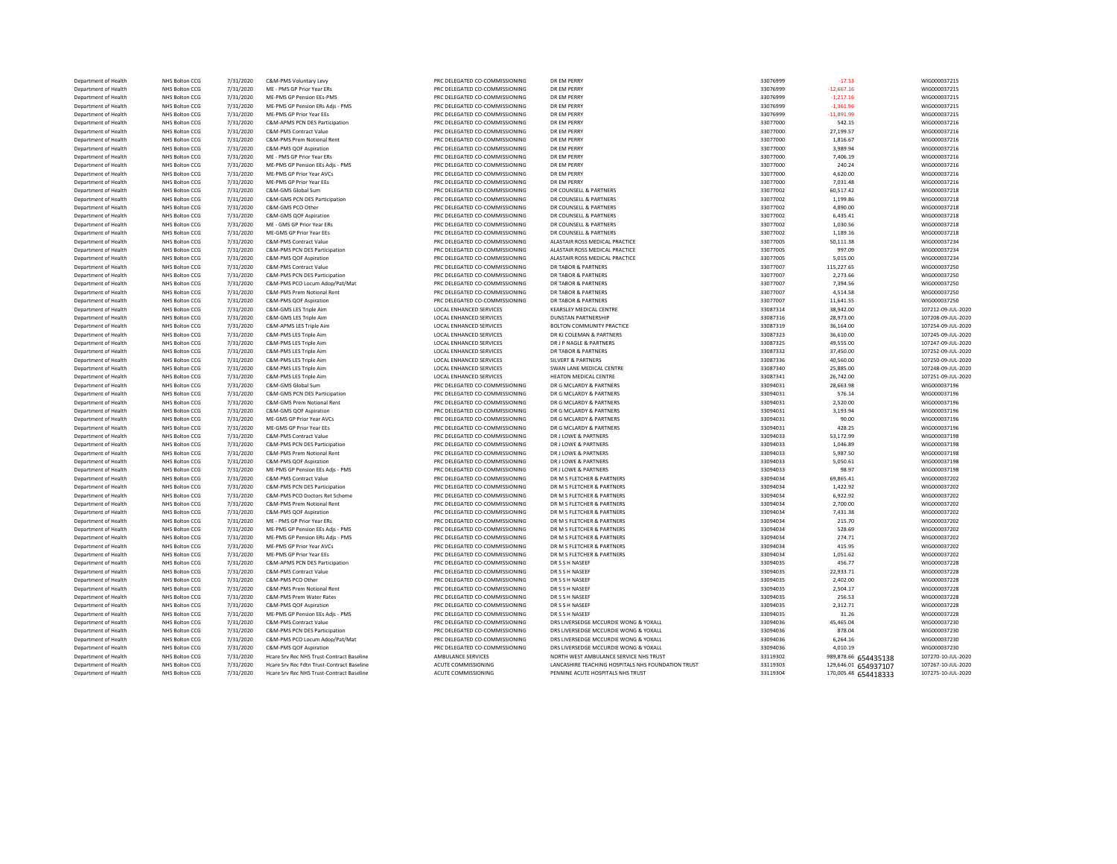| Department of Health | NHS Bolton CCG        | 7/31/2020 | C&M-PMS Voluntary Levy                     | PRC DELEGATED CO-COMMISSIONING | DR EM PERRY                                        | 33076999 | $-17.53$             | WIG000037215        |
|----------------------|-----------------------|-----------|--------------------------------------------|--------------------------------|----------------------------------------------------|----------|----------------------|---------------------|
| Department of Health | NHS Bolton CCG        | 7/31/2020 | ME - PMS GP Prior Year ERs                 | PRC DELEGATED CO-COMMISSIONING | DR EM PERRY                                        | 33076999 | $-12,667.16$         | WIG000037215        |
|                      | NHS Bolton CCG        | 7/31/2020 | ME-PMS GP Pension EEs-PMS                  | PRC DELEGATED CO-COMMISSIONING | <b>DR EM PERRY</b>                                 | 33076999 | $-1.217.16$          | WIG000037215        |
| Department of Health |                       |           |                                            |                                |                                                    |          |                      |                     |
| Department of Health | NHS Bolton CCG        | 7/31/2020 | ME-PMS GP Pension ERs Adjs - PMS           | PRC DELEGATED CO-COMMISSIONING | DR EM PERRY                                        | 33076999 | $-1,361.96$          | WIG000037215        |
| Department of Health | NHS Bolton CCG        | 7/31/2020 | ME-PMS GP Prior Year EEs                   | PRC DELEGATED CO-COMMISSIONING | DR EM PERRY                                        | 33076999 | $-11,891.99$         | WIG000037215        |
| Department of Health | NHS Bolton CCG        | 7/31/2020 | C&M-APMS PCN DES Participation             | PRC DELEGATED CO-COMMISSIONING | <b>DR EM PERRY</b>                                 | 33077000 | 542.15               | WIG000037216        |
| Department of Health | NHS Bolton CCG        | 7/31/2020 | C&M-PMS Contract Value                     | PRC DELEGATED CO-COMMISSIONING | <b>DR EM PERRY</b>                                 | 33077000 | 27.199.57            | WIG000037216        |
| Department of Health | NHS Bolton CCG        | 7/31/2020 | C&M-PMS Prem Notional Rent                 | PRC DELEGATED CO-COMMISSIONING | DR EM PERRY                                        | 33077000 | 1,816.67             | WIG000037216        |
| Department of Health | NHS Bolton CCG        | 7/31/2020 | C&M-PMS QOF Aspiration                     | PRC DELEGATED CO-COMMISSIONING | <b>DR EM PERRY</b>                                 | 33077000 | 3,989.94             | WIG000037216        |
| Department of Health | NHS Bolton CCG        | 7/31/2020 | ME - PMS GP Prior Year ERs                 | PRC DELEGATED CO-COMMISSIONING | DR EM PERRY                                        | 33077000 | 7,406.19             | WIG000037216        |
| Denartment of Health | NHS Bolton CCG        | 7/31/2020 | MF-PMS GP Pension FFs Adis - PMS           | PRC DELEGATED CO-COMMISSIONING | DR FM PFRRY                                        | 33077000 | 240.24               | WIG000037216        |
| Department of Health | NHS Bolton CCG        | 7/31/2020 | ME-PMS GP Prior Year AVCs                  | PRC DELEGATED CO-COMMISSIONING | DR EM PERRY                                        | 33077000 | 4,620.00             | WIG000037216        |
|                      |                       |           |                                            |                                |                                                    |          |                      |                     |
| Department of Health | NHS Bolton CCG        | 7/31/2020 | ME-PMS GP Prior Year EEs                   | PRC DELEGATED CO-COMMISSIONING | DR EM PERRY                                        | 33077000 | 7,031.48             | WIG000037216        |
| Department of Health | NHS Bolton CCG        | 7/31/2020 | C&M-GMS Global Sum                         | PRC DELEGATED CO-COMMISSIONING | DR COUNSELL & PARTNERS                             | 33077002 | 60,517.42            | WIG000037218        |
| Department of Health | NHS Bolton CCG        | 7/31/2020 | C&M-GMS PCN DES Participation              | PRC DELEGATED CO-COMMISSIONING | DR COUNSELL & PARTNERS                             | 33077002 | 1,199.86             | WIG000037218        |
| Department of Health | NHS Bolton CCG        | 7/31/2020 | C&M-GMS PCO Other                          | PRC DELEGATED CO-COMMISSIONING | DR COUNSELL & PARTNERS                             | 33077002 | 4,890.00             | WIG000037218        |
| Department of Health | NHS Bolton CCG        | 7/31/2020 | C&M-GMS QOF Aspiration                     | PRC DELEGATED CO-COMMISSIONING | DR COUNSELL & PARTNERS                             | 33077002 | 6.435.41             | WIG000037218        |
| Department of Health | NHS Bolton CCG        | 7/31/2020 | ME - GMS GP Prior Year ERs                 | PRC DELEGATED CO-COMMISSIONING | DR COUNSELL & PARTNERS                             | 33077002 | 1,030.56             | WIG000037218        |
| Department of Health | NHS Bolton CCG        | 7/31/2020 | ME-GMS GP Prior Year EEs                   | PRC DELEGATED CO-COMMISSIONING | DR COUNSELL & PARTNERS                             | 33077002 | 1.189.16             | WIG000037218        |
| Department of Health | NHS Bolton CCG        | 7/31/2020 | C&M-PMS Contract Value                     | PRC DELEGATED CO-COMMISSIONING | ALASTAIR ROSS MEDICAL PRACTICE                     | 33077005 | 50,111.38            | WIG000037234        |
| Department of Health | NHS Bolton CCG        | 7/31/2020 | C&M-PMS PCN DES Participation              | PRC DELEGATED CO-COMMISSIONING | ALASTAIR ROSS MEDICAL PRACTICE                     | 33077005 | 997.09               | WIG000037234        |
| Department of Health | NHS Bolton CCG        | 7/31/2020 | C&M-PMS QOF Aspiration                     | PRC DELEGATED CO-COMMISSIONING | ALASTAIR ROSS MEDICAL PRACTICE                     | 33077005 | 5,015.00             | WIG000037234        |
| Department of Health | NHS Bolton CCG        | 7/31/2020 | <b>C&amp;M-PMS Contract Value</b>          | PRC DELEGATED CO-COMMISSIONING | DR TABOR & PARTNERS                                | 33077007 | 115,227.65           | WIG000037250        |
| Department of Health | NHS Bolton CCG        | 7/31/2020 | C&M-PMS PCN DES Participation              | PRC DELEGATED CO-COMMISSIONING | <b>DR TABOR &amp; PARTNERS</b>                     | 33077007 | 2,273.66             | WIG000037250        |
|                      |                       |           |                                            |                                |                                                    |          |                      |                     |
| Department of Health | NHS Bolton CCG        | 7/31/2020 | C&M-PMS PCO Locum Adop/Pat/Mat             | PRC DELEGATED CO-COMMISSIONING | DR TABOR & PARTNERS                                | 33077007 | 7,394.56             | WIG000037250        |
| Department of Health | NHS Bolton CCG        | 7/31/2020 | C&M-PMS Prem Notional Rent                 | PRC DELEGATED CO-COMMISSIONING | <b>DR TABOR &amp; PARTNERS</b>                     | 33077007 | 4,514.58             | WIG000037250        |
| Department of Health | NHS Bolton CCG        | 7/31/2020 | C&M-PMS QOF Aspiration                     | PRC DELEGATED CO-COMMISSIONING | <b>DR TABOR &amp; PARTNERS</b>                     | 33077007 | 11,641.55            | WIG000037250        |
| Department of Health | NHS Bolton CCG        | 7/31/2020 | C&M-GMS LES Triple Aim                     | LOCAL ENHANCED SERVICES        | <b>KEARSLEY MEDICAL CENTRE</b>                     | 33087314 | 38,942.00            | 107212-09-JUL-2020  |
| Department of Health | NHS Bolton CCG        | 7/31/2020 | C&M-GMS LES Triple Aim                     | LOCAL ENHANCED SERVICES        | <b>DUNSTAN PARTNERSHIP</b>                         | 33087316 | 28,973.00            | 107208-09-JUL-2020  |
| Denartment of Health | NHS Bolton CCG        | 7/31/2020 | C&M-APMS LES Trinle Aim                    | <b>LOCAL ENHANCED SERVICES</b> | BOLTON COMMUNITY PRACTICE                          | 33087319 | 36,164.00            | 107254-09-1111-2020 |
| Department of Health | NHS Bolton CCG        | 7/31/2020 | C&M-PMS LES Triple Aim                     | LOCAL ENHANCED SERVICES        | DR KJ COLEMAN & PARTNERS                           | 33087323 | 36,610.00            | 107245-09-JUL-2020  |
| Department of Health | NHS Bolton CCG        | 7/31/2020 | C&M-PMS LES Triple Aim                     | LOCAL ENHANCED SERVICES        | DR J P NAGLE & PARTNERS                            | 33087325 | 49,555.00            | 107247-09-JUL-2020  |
| Department of Health | NHS Bolton CCG        | 7/31/2020 | C&M-PMS LES Triple Aim                     | LOCAL ENHANCED SERVICES        | DR TABOR & PARTNERS                                | 33087332 | 37,450.00            | 107252-09-JUL-2020  |
| Department of Health | NHS Bolton CCG        | 7/31/2020 | C&M-PMS LES Triple Aim                     | LOCAL ENHANCED SERVICES        | <b>SILVERT &amp; PARTNERS</b>                      | 33087336 | 40,560.00            | 107250-09-JUL-2020  |
| Department of Health | NHS Bolton CCG        | 7/31/2020 | C&M-PMS LES Triple Aim                     | <b>LOCAL ENHANCED SERVICES</b> | SWAN LANE MEDICAL CENTRE                           | 33087340 | 25,885.00            | 107248-09-1111-2020 |
| Department of Health | NHS Bolton CCG        | 7/31/2020 | C&M-PMS LES Triple Aim                     | LOCAL ENHANCED SERVICES        | <b>HEATON MEDICAL CENTRE</b>                       | 33087341 | 26,742.00            | 107251-09-JUL-2020  |
| Department of Health | NHS Bolton CCG        | 7/31/2020 | C&M-GMS Global Sum                         | PRC DELEGATED CO-COMMISSIONING | DR G MCLARDY & PARTNERS                            | 33094031 | 28,663.98            | WIG000037196        |
|                      | NHS Bolton CCG        |           | C&M-GMS PCN DES Participation              | PRC DELEGATED CO-COMMISSIONING | DR G MCLARDY & PARTNERS                            | 33094031 |                      | WIG000037196        |
| Department of Health |                       | 7/31/2020 |                                            |                                |                                                    |          | 576.14               |                     |
| Department of Health | NHS Bolton CCG        | 7/31/2020 | C&M-GMS Prem Notional Rent                 | PRC DELEGATED CO-COMMISSIONING | DR G MCLARDY & PARTNERS                            | 33094031 | 2,520.00             | WIG000037196        |
| Department of Health | NHS Bolton CCG        | 7/31/2020 | C&M-GMS QOF Aspiration                     | PRC DELEGATED CO-COMMISSIONING | DR G MCLARDY & PARTNERS                            | 33094031 | 3,193.94             | WIG000037196        |
| Department of Health | NHS Bolton CCG        | 7/31/2020 | ME-GMS GP Prior Year AVCs                  | PRC DELEGATED CO-COMMISSIONING | DR G MCLARDY & PARTNERS                            | 33094031 | 90.00                | WIG000037196        |
| Department of Health | NHS Bolton CCG        | 7/31/2020 | ME-GMS GP Prior Year EEs                   | PRC DELEGATED CO-COMMISSIONING | DR G MCLARDY & PARTNERS                            | 33094031 | 428.25               | WIG000037196        |
| Department of Health | NHS Bolton CCG        | 7/31/2020 | C&M-PMS Contract Value                     | PRC DELEGATED CO-COMMISSIONING | DR J LOWE & PARTNERS                               | 33094033 | 53,172.99            | WIG000037198        |
| Department of Health | NHS Bolton CCG        | 7/31/2020 | C&M-PMS PCN DES Participation              | PRC DELEGATED CO-COMMISSIONING | DR J LOWE & PARTNERS                               | 33094033 | 1,046.89             | WIG000037198        |
| Department of Health | NHS Bolton CCG        | 7/31/2020 | C&M-PMS Prem Notional Rent                 | PRC DELEGATED CO-COMMISSIONING | DR J LOWE & PARTNERS                               | 33094033 | 5,987.50             | WIG000037198        |
| Department of Health | NHS Bolton CCG        | 7/31/2020 | C&M-PMS QOF Aspiration                     | PRC DELEGATED CO-COMMISSIONING | DR J LOWE & PARTNERS                               | 33094033 | 5,050.61             | WIG000037198        |
| Department of Health | NHS Bolton CCG        | 7/31/2020 | ME-PMS GP Pension EEs Adis - PMS           | PRC DELEGATED CO-COMMISSIONING | DR J LOWE & PARTNERS                               | 33094033 | 98.97                | WIG000037198        |
| Department of Health | NHS Bolton CCG        | 7/31/2020 | C&M-PMS Contract Value                     | PRC DELEGATED CO-COMMISSIONING | DR M S FLETCHER & PARTNERS                         | 33094034 | 69,865.41            | WIG000037202        |
| Department of Health | NHS Bolton CCG        | 7/31/2020 | C&M-PMS PCN DES Participation              | PRC DELEGATED CO-COMMISSIONING | DR M S FLETCHER & PARTNERS                         | 33094034 | 1,422.92             | WIG000037202        |
| Department of Health | NHS Bolton CCG        | 7/31/2020 | C&M-PMS PCO Doctors Ret Scheme             | PRC DELEGATED CO-COMMISSIONING | DR M S FLETCHER & PARTNERS                         | 33094034 | 6,922.92             | WIG000037202        |
| Department of Health | NHS Bolton CCG        | 7/31/2020 | C&M-PMS Prem Notional Rent                 | PRC DELEGATED CO-COMMISSIONING | DR M S FLETCHER & PARTNERS                         | 33094034 | 2,700.00             | WIG000037202        |
| Department of Health | NHS Bolton CCG        | 7/31/2020 | C&M-PMS QOF Aspiration                     | PRC DELEGATED CO-COMMISSIONING | DR M S FLETCHER & PARTNERS                         | 33094034 | 7,431.38             | WIG000037202        |
| Department of Health | NHS Bolton CCG        | 7/31/2020 | ME - PMS GP Prior Year ERs                 | PRC DELEGATED CO-COMMISSIONING | DR M S FLETCHER & PARTNERS                         | 33094034 | 215.70               | WIG000037202        |
|                      | NHS Bolton CCG        |           |                                            | PRC DELEGATED CO-COMMISSIONING | DR M S FLETCHER & PARTNERS                         |          |                      | WIG000037202        |
| Department of Health |                       | 7/31/2020 | ME-PMS GP Pension EEs Adjs - PMS           |                                |                                                    | 33094034 | 528.69               |                     |
| Department of Health | NHS Bolton CCG        | 7/31/2020 | ME-PMS GP Pension ERs Adis - PMS           | PRC DELEGATED CO-COMMISSIONING | DR M S FLETCHER & PARTNERS                         | 33094034 | 274.71               | WIG000037202        |
| Department of Health | NHS Bolton CCG        | 7/31/2020 | ME-PMS GP Prior Year AVCs                  | PRC DELEGATED CO-COMMISSIONING | DR M S FLETCHER & PARTNERS                         | 33094034 | 415.95               | WIG000037202        |
| Department of Health | NHS Bolton CCG        | 7/31/2020 | ME-PMS GP Prior Year EEs                   | PRC DELEGATED CO-COMMISSIONING | DR M S FLETCHER & PARTNERS                         | 33094034 | 1,051.62             | WIG000037202        |
| Department of Health | NHS Bolton CCG        | 7/31/2020 | C&M-APMS PCN DES Participation             | PRC DELEGATED CO-COMMISSIONING | DR S S H NASEEF                                    | 33094035 | 456.77               | WIG000037228        |
| Department of Health | NHS Bolton CCG        | 7/31/2020 | <b>C&amp;M-PMS Contract Value</b>          | PRC DELEGATED CO-COMMISSIONING | DR S S H NASEER                                    | 33094035 | 22,933.71            | WIG000037228        |
| Department of Health | NHS Bolton CCG        | 7/31/2020 | C&M-PMS PCO Other                          | PRC DELEGATED CO-COMMISSIONING | DR S S H NASEER                                    | 33094035 | 2,402.00             | WIG000037228        |
| Department of Health | NHS Bolton CCG        | 7/31/2020 | C&M-PMS Prem Notional Rent                 | PRC DELEGATED CO-COMMISSIONING | DR S S H NASEEF                                    | 33094035 | 2,504.17             | WIG000037228        |
| Department of Health | NHS Bolton CCG        | 7/31/2020 | C&M-PMS Prem Water Rates                   | PRC DELEGATED CO-COMMISSIONING | DR S S H NASEER                                    | 33094035 | 256.53               | WIG000037228        |
| Department of Health | NHS Bolton CCG        | 7/31/2020 | C&M-PMS QOF Aspiration                     | PRC DELEGATED CO-COMMISSIONING | DR S S H NASEEF                                    | 33094035 | 2,312.71             | WIG000037228        |
| Department of Health | NHS Bolton CCG        | 7/31/2020 | ME-PMS GP Pension EEs Adjs - PMS           | PRC DELEGATED CO-COMMISSIONING | DR S S H NASEFF                                    | 33094035 | 31.26                | WIG000037228        |
| Department of Health | NHS Bolton CCG        | 7/31/2020 | <b>C&amp;M-PMS Contract Value</b>          | PRC DELEGATED CO-COMMISSIONING | DRS LIVERSEDGE MCCURDIE WONG & YOXALI              | 33094036 | 45,465.04            | WIG000037230        |
| Department of Health | NHS Bolton CCG        | 7/31/2020 | C&M-PMS PCN DES Participation              | PRC DELEGATED CO-COMMISSIONING | DRS LIVERSEDGE MCCURDIE WONG & YOXALL              | 33094036 | 878.04               | WIG000037230        |
| Department of Health | NHS Bolton CCG        | 7/31/2020 | C&M-PMS PCO Locum Adop/Pat/Mat             | PRC DELEGATED CO-COMMISSIONING | DRS LIVERSEDGE MCCURDIE WONG & YOXALL              | 33094036 | 6,264.16             | WIG000037230        |
| Denartment of Health | NHS Bolton CCG        | 7/31/2020 | C&M-PMS OOF Asniration                     | PRC DELEGATED CO-COMMISSIONING | DRS LIVERSEDGE MCCURDIE WONG & YOXALL              | 33094036 | 4,010.19             | WIG000037230        |
|                      |                       |           |                                            | AMBULANCE SERVICES             | NORTH WEST AMBULANCE SERVICE NHS TRUST             |          |                      | 107270-10-JUL-2020  |
| Department of Health | <b>NHS Bolton CCG</b> | 7/31/2020 | Hcare Srv Rec NHS Trust-Contract Baseline  |                                |                                                    | 33119302 | 989,878.66 654435138 |                     |
| Department of Health | NHS Bolton CCG        | 7/31/2020 | Hcare Srv Rec Fdtn Trust-Contract Baseline | ACUTE COMMISSIONING            | LANCASHIRE TEACHING HOSPITALS NHS FOUNDATION TRUST | 33119303 | 129,646.01 654937107 | 107267-10-JUL-2020  |
| Department of Health | NHS Bolton CCG        | 7/31/2020 | Hcare Srv Rec NHS Trust-Contract Baseline  | ACUTE COMMISSIONING            | PENNINE ACUTE HOSPITALS NHS TRUST                  | 33119304 | 170,005.48 654418333 | 107275-10-JUL-2020  |